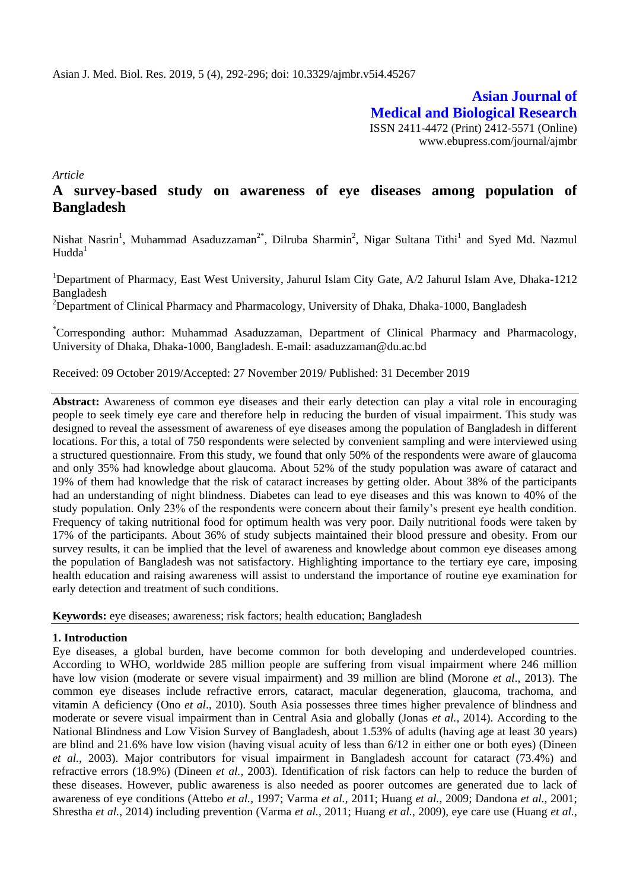**Asian Journal of Medical and Biological Research** ISSN 2411-4472 (Print) 2412-5571 (Online) www.ebupress.com/journal/ajmbr

*Article*

# **A survey-based study on awareness of eye diseases among population of Bangladesh**

Nishat Nasrin<sup>1</sup>, Muhammad Asaduzzaman<sup>2\*</sup>, Dilruba Sharmin<sup>2</sup>, Nigar Sultana Tithi<sup>1</sup> and Syed Md. Nazmul  $Hudda<sup>1</sup>$ 

<sup>1</sup>Department of Pharmacy, East West University, Jahurul Islam City Gate, A/2 Jahurul Islam Ave, Dhaka-1212 Bangladesh

<sup>2</sup>Department of Clinical Pharmacy and Pharmacology, University of Dhaka, Dhaka-1000, Bangladesh

\*Corresponding author: Muhammad Asaduzzaman, Department of Clinical Pharmacy and Pharmacology, University of Dhaka, Dhaka-1000, Bangladesh. E-mail: [asaduzzaman@du.ac.bd](mailto:asaduzzaman@du.ac.bd)

Received: 09 October 2019/Accepted: 27 November 2019/ Published: 31 December 2019

**Abstract:** Awareness of common eye diseases and their early detection can play a vital role in encouraging people to seek timely eye care and therefore help in reducing the burden of visual impairment. This study was designed to reveal the assessment of awareness of eye diseases among the population of Bangladesh in different locations. For this, a total of 750 respondents were selected by convenient sampling and were interviewed using a structured questionnaire. From this study, we found that only 50% of the respondents were aware of glaucoma and only 35% had knowledge about glaucoma. About 52% of the study population was aware of cataract and 19% of them had knowledge that the risk of cataract increases by getting older. About 38% of the participants had an understanding of night blindness. Diabetes can lead to eye diseases and this was known to 40% of the study population. Only 23% of the respondents were concern about their family's present eye health condition. Frequency of taking nutritional food for optimum health was very poor. Daily nutritional foods were taken by 17% of the participants. About 36% of study subjects maintained their blood pressure and obesity. From our survey results, it can be implied that the level of awareness and knowledge about common eye diseases among the population of Bangladesh was not satisfactory. Highlighting importance to the tertiary eye care, imposing health education and raising awareness will assist to understand the importance of routine eye examination for early detection and treatment of such conditions.

**Keywords:** eye diseases; awareness; risk factors; health education; Bangladesh

## **1. Introduction**

Eye diseases, a global burden, have become common for both developing and underdeveloped countries. According to WHO, worldwide 285 million people are suffering from visual impairment where 246 million have low vision (moderate or severe visual impairment) and 39 million are blind (Morone *et al*., 2013). The common eye diseases include refractive errors, cataract, macular degeneration, glaucoma, trachoma, and vitamin A deficiency (Ono *et al*., 2010). South Asia possesses three times higher prevalence of blindness and moderate or severe visual impairment than in Central Asia and globally (Jonas *et al.*, 2014). According to the National Blindness and Low Vision Survey of Bangladesh, about 1.53% of adults (having age at least 30 years) are blind and 21.6% have low vision (having visual acuity of less than 6/12 in either one or both eyes) (Dineen *et al.*, 2003). Major contributors for visual impairment in Bangladesh account for cataract (73.4%) and refractive errors (18.9%) (Dineen *et al.*, 2003). Identification of risk factors can help to reduce the burden of these diseases. However, public awareness is also needed as poorer outcomes are generated due to lack of awareness of eye conditions (Attebo *et al.*, 1997; Varma *et al.*, 2011; Huang *et al.*, 2009; Dandona *et al.*, 2001; Shrestha *et al.*, 2014) including prevention (Varma *et al.*, 2011; Huang *et al.*, 2009), eye care use (Huang *et al.*,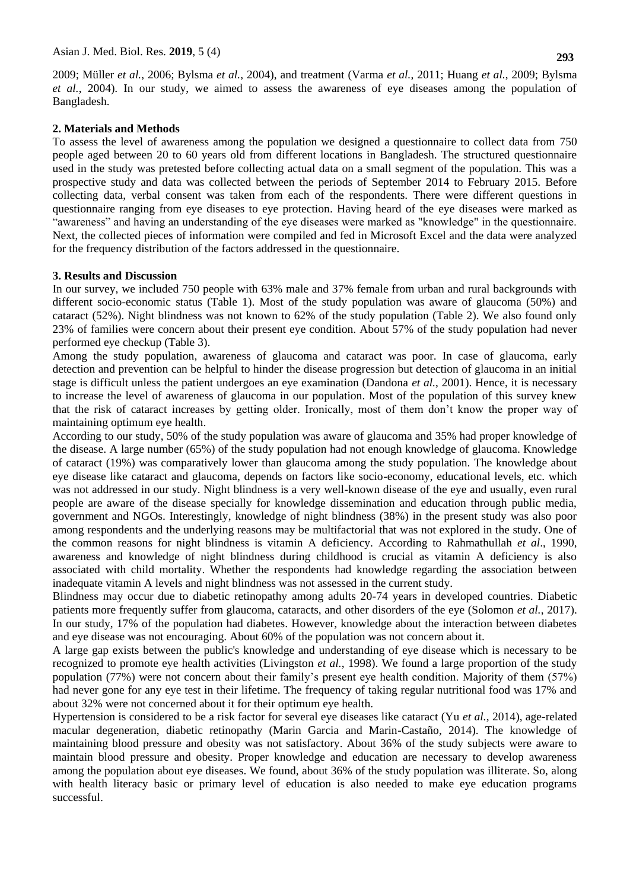2009; Müller *et al.*, 2006; Bylsma *et al.*, 2004), and treatment (Varma *et al.*, 2011; Huang *et al.*, 2009; Bylsma *et al.*, 2004). In our study, we aimed to assess the awareness of eye diseases among the population of Bangladesh.

#### **2. Materials and Methods**

To assess the level of awareness among the population we designed a questionnaire to collect data from 750 people aged between 20 to 60 years old from different locations in Bangladesh. The structured questionnaire used in the study was pretested before collecting actual data on a small segment of the population. This was a prospective study and data was collected between the periods of September 2014 to February 2015. Before collecting data, verbal consent was taken from each of the respondents. There were different questions in questionnaire ranging from eye diseases to eye protection. Having heard of the eye diseases were marked as "awareness" and having an understanding of the eye diseases were marked as "knowledge" in the questionnaire. Next, the collected pieces of information were compiled and fed in Microsoft Excel and the data were analyzed for the frequency distribution of the factors addressed in the questionnaire.

#### **3. Results and Discussion**

In our survey, we included 750 people with 63% male and 37% female from urban and rural backgrounds with different socio-economic status (Table 1). Most of the study population was aware of glaucoma (50%) and cataract (52%). Night blindness was not known to 62% of the study population (Table 2). We also found only 23% of families were concern about their present eye condition. About 57% of the study population had never performed eye checkup (Table 3).

Among the study population, awareness of glaucoma and cataract was poor. In case of glaucoma, early detection and prevention can be helpful to hinder the disease progression but detection of glaucoma in an initial stage is difficult unless the patient undergoes an eye examination (Dandona *et al.*, 2001). Hence, it is necessary to increase the level of awareness of glaucoma in our population. Most of the population of this survey knew that the risk of cataract increases by getting older. Ironically, most of them don't know the proper way of maintaining optimum eye health.

According to our study, 50% of the study population was aware of glaucoma and 35% had proper knowledge of the disease. A large number (65%) of the study population had not enough knowledge of glaucoma. Knowledge of cataract (19%) was comparatively lower than glaucoma among the study population. The knowledge about eye disease like cataract and glaucoma, depends on factors like socio-economy, educational levels, etc. which was not addressed in our study. Night blindness is a very well-known disease of the eye and usually, even rural people are aware of the disease specially for knowledge dissemination and education through public media, government and NGOs. Interestingly, knowledge of night blindness (38%) in the present study was also poor among respondents and the underlying reasons may be multifactorial that was not explored in the study. One of the common reasons for night blindness is vitamin A deficiency. According to Rahmathullah *et al*., 1990, awareness and knowledge of night blindness during childhood is crucial as vitamin A deficiency is also associated with child mortality. Whether the respondents had knowledge regarding the association between inadequate vitamin A levels and night blindness was not assessed in the current study.

Blindness may occur due to diabetic retinopathy among adults 20-74 years in developed countries. Diabetic patients more frequently suffer from glaucoma, cataracts, and other disorders of the eye (Solomon *et al.*, 2017). In our study, 17% of the population had diabetes. However, knowledge about the interaction between diabetes and eye disease was not encouraging. About 60% of the population was not concern about it.

A large gap exists between the public's knowledge and understanding of eye disease which is necessary to be recognized to promote eye health activities (Livingston *et al.*, 1998). We found a large proportion of the study population (77%) were not concern about their family's present eye health condition. Majority of them (57%) had never gone for any eye test in their lifetime. The frequency of taking regular nutritional food was 17% and about 32% were not concerned about it for their optimum eye health.

Hypertension is considered to be a risk factor for several eye diseases like cataract (Yu *et al.,* 2014), age-related macular degeneration, diabetic retinopathy (Marin Garcia and Marin-Castaño, 2014). The knowledge of maintaining blood pressure and obesity was not satisfactory. About 36% of the study subjects were aware to maintain blood pressure and obesity. Proper knowledge and education are necessary to develop awareness among the population about eye diseases. We found, about 36% of the study population was illiterate. So, along with health literacy basic or primary level of education is also needed to make eye education programs successful.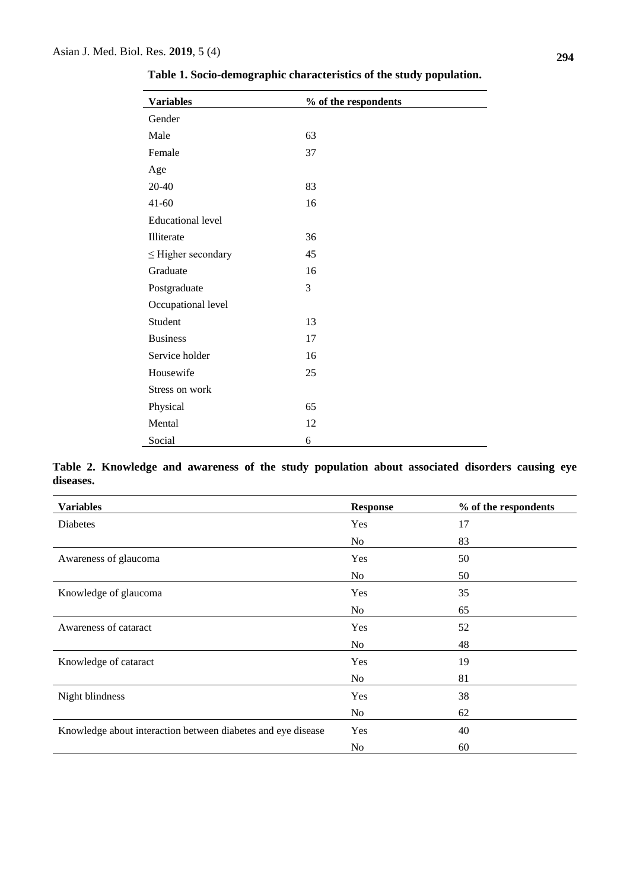| <b>Variables</b>         | % of the respondents |
|--------------------------|----------------------|
| Gender                   |                      |
| Male                     | 63                   |
| Female                   | 37                   |
| Age                      |                      |
| 20-40                    | 83                   |
| $41 - 60$                | 16                   |
| <b>Educational level</b> |                      |
| Illiterate               | 36                   |
| $\leq$ Higher secondary  | 45                   |
| Graduate                 | 16                   |
| Postgraduate             | 3                    |
| Occupational level       |                      |
| Student                  | 13                   |
| <b>Business</b>          | 17                   |
| Service holder           | 16                   |
| Housewife                | 25                   |
| Stress on work           |                      |
| Physical                 | 65                   |
| Mental                   | 12                   |
| Social                   | 6                    |

**Table 1. Socio-demographic characteristics of the study population.**

**Table 2. Knowledge and awareness of the study population about associated disorders causing eye diseases.**

| <b>Variables</b>                                             | <b>Response</b> | % of the respondents |
|--------------------------------------------------------------|-----------------|----------------------|
| Diabetes                                                     | Yes             | 17                   |
|                                                              | N <sub>o</sub>  | 83                   |
| Awareness of glaucoma                                        | Yes             | 50                   |
|                                                              | No              | 50                   |
| Knowledge of glaucoma                                        | Yes             | 35                   |
|                                                              | No              | 65                   |
| Awareness of cataract                                        | Yes             | 52                   |
|                                                              | N <sub>o</sub>  | 48                   |
| Knowledge of cataract                                        | Yes             | 19                   |
|                                                              | No              | 81                   |
| Night blindness                                              | Yes             | 38                   |
|                                                              | No              | 62                   |
| Knowledge about interaction between diabetes and eye disease | Yes             | 40                   |
|                                                              | N <sub>0</sub>  | 60                   |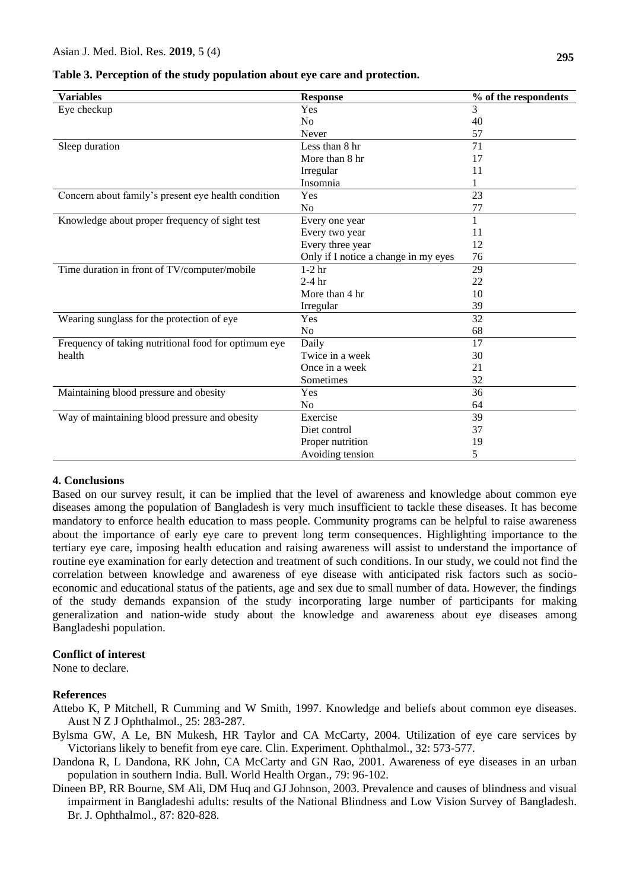| <b>Variables</b>                                     | <b>Response</b>                      | % of the respondents |
|------------------------------------------------------|--------------------------------------|----------------------|
| Eye checkup                                          | Yes                                  | 3                    |
|                                                      | No                                   | 40                   |
|                                                      | Never                                | 57                   |
| Sleep duration                                       | Less than 8 hr                       | 71                   |
|                                                      | More than 8 hr                       | 17                   |
|                                                      | Irregular                            | 11                   |
|                                                      | Insomnia                             |                      |
| Concern about family's present eye health condition  | Yes                                  | 23                   |
|                                                      | No                                   | 77                   |
| Knowledge about proper frequency of sight test       | Every one year                       | 1                    |
|                                                      | Every two year                       | 11                   |
|                                                      | Every three year                     | 12                   |
|                                                      | Only if I notice a change in my eyes | 76                   |
| Time duration in front of TV/computer/mobile         | $1-2$ hr                             | 29                   |
|                                                      | $2-4$ hr                             | 22                   |
|                                                      | More than 4 hr                       | 10                   |
|                                                      | Irregular                            | 39                   |
| Wearing sunglass for the protection of eye           | Yes                                  | 32                   |
|                                                      | No                                   | 68                   |
| Frequency of taking nutritional food for optimum eye | Daily                                | 17                   |
| health                                               | Twice in a week                      | 30                   |
|                                                      | Once in a week                       | 21                   |
|                                                      | Sometimes                            | 32                   |
| Maintaining blood pressure and obesity               | Yes                                  | 36                   |
|                                                      | N <sub>o</sub>                       | 64                   |
| Way of maintaining blood pressure and obesity        | Exercise                             | 39                   |
|                                                      | Diet control                         | 37                   |
|                                                      | Proper nutrition                     | 19                   |
|                                                      | Avoiding tension                     | 5                    |

**Table 3. Perception of the study population about eye care and protection.**

### **4. Conclusions**

Based on our survey result, it can be implied that the level of awareness and knowledge about common eye diseases among the population of Bangladesh is very much insufficient to tackle these diseases. It has become mandatory to enforce health education to mass people. Community programs can be helpful to raise awareness about the importance of early eye care to prevent long term consequences. Highlighting importance to the tertiary eye care, imposing health education and raising awareness will assist to understand the importance of routine eye examination for early detection and treatment of such conditions. In our study, we could not find the correlation between knowledge and awareness of eye disease with anticipated risk factors such as socioeconomic and educational status of the patients, age and sex due to small number of data. However, the findings of the study demands expansion of the study incorporating large number of participants for making generalization and nation-wide study about the knowledge and awareness about eye diseases among Bangladeshi population.

## **Conflict of interest**

None to declare.

#### **References**

- Attebo K, P Mitchell, R Cumming and W Smith, 1997. Knowledge and beliefs about common eye diseases. Aust N Z J Ophthalmol., 25: 283-287.
- Bylsma GW, A Le, BN Mukesh, HR Taylor and CA McCarty, 2004. Utilization of eye care services by Victorians likely to benefit from eye care. Clin. Experiment. Ophthalmol., 32: 573-577.
- Dandona R, L Dandona, RK John, CA McCarty and GN Rao, 2001. Awareness of eye diseases in an urban population in southern India. Bull. World Health Organ., 79: 96-102.
- Dineen BP, RR Bourne, SM Ali, DM Huq and GJ Johnson, 2003. Prevalence and causes of blindness and visual impairment in Bangladeshi adults: results of the National Blindness and Low Vision Survey of Bangladesh. Br. J. Ophthalmol., 87: 820-828.